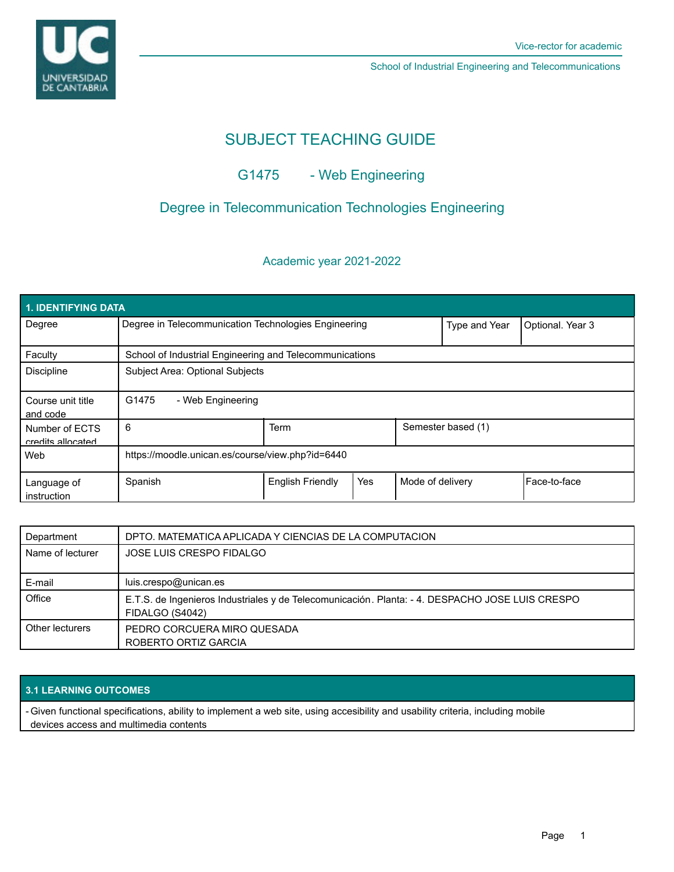

School of Industrial Engineering and Telecommunications

# SUBJECT TEACHING GUIDE

# G1475 - Web Engineering

## Degree in Telecommunication Technologies Engineering

### Academic year 2021-2022

| 1. IDENTIFYING DATA                 |                                                         |                         |     |                    |                  |              |  |  |  |
|-------------------------------------|---------------------------------------------------------|-------------------------|-----|--------------------|------------------|--------------|--|--|--|
| Degree                              | Degree in Telecommunication Technologies Engineering    |                         |     | Type and Year      | Optional. Year 3 |              |  |  |  |
| Faculty                             | School of Industrial Engineering and Telecommunications |                         |     |                    |                  |              |  |  |  |
| <b>Discipline</b>                   | Subject Area: Optional Subjects                         |                         |     |                    |                  |              |  |  |  |
| Course unit title<br>and code       | G1475<br>- Web Engineering                              |                         |     |                    |                  |              |  |  |  |
| Number of ECTS<br>credits allocated | 6                                                       | Term                    |     | Semester based (1) |                  |              |  |  |  |
| Web                                 | https://moodle.unican.es/course/view.php?id=6440        |                         |     |                    |                  |              |  |  |  |
| Language of<br>instruction          | Spanish                                                 | <b>English Friendly</b> | Yes | Mode of delivery   |                  | Face-to-face |  |  |  |

| Department       | DPTO. MATEMATICA APLICADA Y CIENCIAS DE LA COMPUTACION                                                             |  |  |  |
|------------------|--------------------------------------------------------------------------------------------------------------------|--|--|--|
| Name of lecturer | JOSE LUIS CRESPO FIDALGO                                                                                           |  |  |  |
| E-mail           | luis.crespo@unican.es                                                                                              |  |  |  |
| Office           | E.T.S. de Ingenieros Industriales y de Telecomunicación. Planta: - 4. DESPACHO JOSE LUIS CRESPO<br>FIDALGO (S4042) |  |  |  |
| Other lecturers  | PEDRO CORCUERA MIRO QUESADA<br>ROBERTO ORTIZ GARCIA                                                                |  |  |  |

### **3.1 LEARNING OUTCOMES**

- Given functional specifications, ability to implement a web site, using accesibility and usability criteria, including mobile devices access and multimedia contents